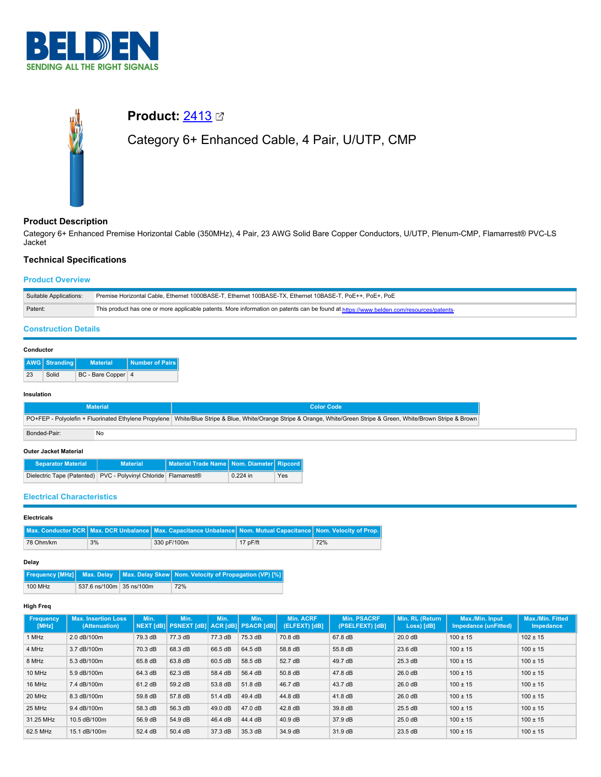



# **Product: [2413](https://catalog.belden.com/index.cfm?event=pd&p=PF_2413&tab=downloads) Ø**

# Category 6+ Enhanced Cable, 4 Pair, U/UTP, CMP

# **Product Description**

Category 6+ Enhanced Premise Horizontal Cable (350MHz), 4 Pair, 23 AWG Solid Bare Copper Conductors, U/UTP, Plenum-CMP, Flamarrest® PVC-LS Jacket

## **Technical Specifications**

### **Product Overview**

| Suitable Applications: | Premise Horizontal Cable. Ethernet 1000BASE-T. Ethernet 100BASE-TX. Ethernet 10BASE-T. PoE++. PoE+. PoE                                |
|------------------------|----------------------------------------------------------------------------------------------------------------------------------------|
| Patent:                | This product has one or more applicable patents. More information on patents can be found at https://www.belden.com/resources/patents- |

## **Construction Details**

## **Conductor**

|    | AWG   Stranding | <b>Material</b>    | Number of Pairs |
|----|-----------------|--------------------|-----------------|
| 23 | Solid           | BC - Bare Copper 4 |                 |

#### **Insulation**

|              | <b>Material</b> | <b>Color Code</b>                                                                                                                                                   |
|--------------|-----------------|---------------------------------------------------------------------------------------------------------------------------------------------------------------------|
|              |                 | PO+FEP - Polyolefin + Fluorinated Ethylene Propylene White/Blue Stripe & Blue, White/Orange Stripe & Orange, White/Green Stripe & Green, White/Brown Stripe & Brown |
| Bonded-Pair: | No              |                                                                                                                                                                     |

#### **Outer Jacket Material**

| <b>Separator Material</b>                                       | <b>Material</b> | Material Trade Name   Nom. Diameter   Ripcord |            |     |
|-----------------------------------------------------------------|-----------------|-----------------------------------------------|------------|-----|
| Dielectric Tape (Patented) PVC - Polyvinyl Chloride Flamarrest® |                 |                                               | $0.224$ in | Yes |

## **Electrical Characteristics**

### **Electricals**

|           |    | Max. Conductor DCR   Max. DCR Unbalance   Max. Capacitance Unbalance   Nom. Mutual Capacitance   Nom. Velocity of Prop. |            |     |
|-----------|----|-------------------------------------------------------------------------------------------------------------------------|------------|-----|
| 78 Ohm/km | 3% | 330 pF/100m                                                                                                             | $17p$ F/ft | 72% |

#### **Delay**

|         |                          | Frequency [MHz] Max. Delay   Max. Delay Skew   Nom. Velocity of Propagation (VP) [%] |
|---------|--------------------------|--------------------------------------------------------------------------------------|
| 100 MHz | 537.6 ns/100m 35 ns/100m | 72%                                                                                  |

## **High Freq**

| Frequency<br>[MHz] | <b>Max. Insertion Loss</b><br>(Attenuation) | Min.    | Min.<br>NEXT [dB] PSNEXT [dB] | Min.    | Min.<br><b>ACR [dB] PSACR [dB]</b> | <b>Min. ACRF</b><br>(ELFEXT) [dB] | <b>Min. PSACRF</b><br>(PSELFEXT) [dB] | Min. RL (Return<br>Loss) [dB] | Max./Min. Input<br>Impedance (unFitted) | <b>Max./Min. Fitted</b><br>Impedance |
|--------------------|---------------------------------------------|---------|-------------------------------|---------|------------------------------------|-----------------------------------|---------------------------------------|-------------------------------|-----------------------------------------|--------------------------------------|
| 1 MHz              | 2.0 dB/100m                                 | 79.3 dB | 77.3 dB                       | 77.3 dB | 75.3 dB                            | 70.8 dB                           | 67.8 dB                               | 20.0 dB                       | $100 \pm 15$                            | $102 \pm 15$                         |
| 4 MHz              | 3.7 dB/100m                                 | 70.3 dB | 68.3 dB                       | 66.5 dB | 64.5 dB                            | 58.8 dB                           | 55.8 dB                               | $23.6\,\mathrm{dB}$           | $100 \pm 15$                            | $100 \pm 15$                         |
| 8 MHz              | 5.3 dB/100m                                 | 65.8 dB | 63.8 dB                       | 60.5 dB | 58.5 dB                            | 52.7 dB                           | 49.7 dB                               | $25.3 \text{ dB}$             | $100 \pm 15$                            | $100 \pm 15$                         |
| 10 MHz             | 5.9 dB/100m                                 | 64.3 dB | 62.3 dB                       | 58.4 dB | 56.4 dB                            | 50.8 dB                           | 47.8 dB                               | 26.0 dB                       | $100 \pm 15$                            | $100 \pm 15$                         |
| 16 MHz             | 7.4 dB/100m                                 | 61.2 dB | 59.2 dB                       | 53.8 dB | 51.8 dB                            | 46.7 dB                           | 43.7 dB                               | 26.0 dB                       | $100 \pm 15$                            | $100 \pm 15$                         |
| 20 MHz             | 8.3 dB/100m                                 | 59.8 dB | 57.8 dB                       | 51.4 dB | 49.4 dB                            | 44.8 dB                           | 41.8 dB                               | 26.0 dB                       | $100 \pm 15$                            | $100 \pm 15$                         |
| 25 MHz             | 9.4 dB/100m                                 | 58.3 dB | 56.3 dB                       | 49.0 dB | 47.0 dB                            | 42.8 dB                           | 39.8 dB                               | 25.5 dB                       | $100 \pm 15$                            | $100 \pm 15$                         |
| 31.25 MHz          | 10.5 dB/100m                                | 56.9 dB | 54.9 dB                       | 46.4 dB | 44.4 dB                            | $40.9$ dB                         | 37.9 dB                               | $25.0$ dB                     | $100 \pm 15$                            | $100 \pm 15$                         |
| 62.5 MHz           | 15.1 dB/100m                                | 52.4 dB | 50.4 dB                       | 37.3 dB | 35.3 dB                            | 34.9 dB                           | 31.9 dB                               | 23.5 dB                       | $100 \pm 15$                            | $100 \pm 15$                         |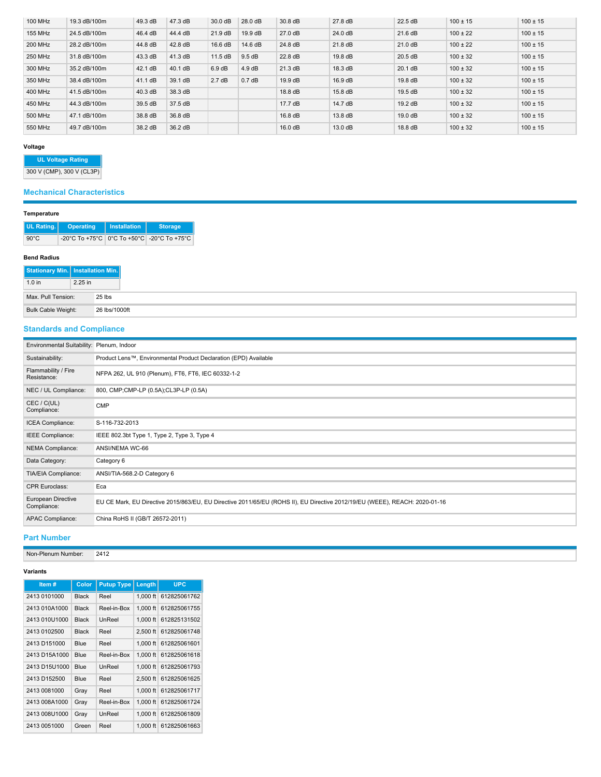| 100 MHz        | 19.3 dB/100m | 49.3 dB | 47.3 dB | 30.0 dB   | 28.0 dB            | 30.8 dB           | 27.8 dB | 22.5 dB | $100 \pm 15$ | $100 \pm 15$ |
|----------------|--------------|---------|---------|-----------|--------------------|-------------------|---------|---------|--------------|--------------|
| <b>155 MHz</b> | 24.5 dB/100m | 46.4 dB | 44.4 dB | $21.9$ dB | 19.9 dB            | 27.0 dB           | 24.0 dB | 21.6 dB | $100 \pm 22$ | $100 \pm 15$ |
| <b>200 MHz</b> | 28.2 dB/100m | 44.8 dB | 42.8 dB | 16.6 dB   | 14.6 dB            | 24.8 dB           | 21.8 dB | 21.0 dB | $100 \pm 22$ | $100 \pm 15$ |
| 250 MHz        | 31.8 dB/100m | 43.3 dB | 41.3 dB | 11.5 dB   | 9.5 dB             | 22.8 dB           | 19.8 dB | 20.5 dB | $100 \pm 32$ | $100 \pm 15$ |
| 300 MHz        | 35.2 dB/100m | 42.1 dB | 40.1 dB | 6.9 dB    | $4.9 \text{ dB}$   | 21.3 dB           | 18.3 dB | 20.1 dB | $100 \pm 32$ | $100 \pm 15$ |
| 350 MHz        | 38.4 dB/100m | 41.1 dB | 39.1 dB | 2.7dB     | 0.7 <sub>d</sub> B | $19.9 \text{ dB}$ | 16.9 dB | 19.8 dB | $100 \pm 32$ | $100 \pm 15$ |
| 400 MHz        | 41.5 dB/100m | 40.3 dB | 38.3 dB |           |                    | 18.8 dB           | 15.8 dB | 19.5 dB | $100 \pm 32$ | $100 \pm 15$ |
| 450 MHz        | 44.3 dB/100m | 39.5 dB | 37.5 dB |           |                    | 17.7 dB           | 14.7 dB | 19.2 dB | $100 \pm 32$ | $100 \pm 15$ |
| 500 MHz        | 47.1 dB/100m | 38.8 dB | 36.8 dB |           |                    | 16.8 dB           | 13.8 dB | 19.0 dB | $100 \pm 32$ | $100 \pm 15$ |
| 550 MHz        | 49.7 dB/100m | 38.2 dB | 36.2 dB |           |                    | 16.0 dB           | 13.0 dB | 18.8 dB | $100 \pm 32$ | $100 \pm 15$ |

### **Voltage**

# **UL Voltage Rating**

300 V (CMP), 300 V (CL3P)

## **Mechanical Characteristics**

## **Temperature**

| UL Rating.     | <b>Operating</b>                               | <b>Installation</b> | <b>Storage</b> |
|----------------|------------------------------------------------|---------------------|----------------|
| $90^{\circ}$ C | -20°C To +75°C   0°C To +50°C   -20°C To +75°C |                     |                |

#### **Bend Radius**

| Stationary Min.   Installation Min. |         |               |
|-------------------------------------|---------|---------------|
| $1.0$ in                            | 2.25 in |               |
| Max, Pull Tension:                  |         | 25 lbs        |
| Bulk Cable Weight:                  |         | 26 lbs/1000ft |

## **Standards and Compliance**

| Environmental Suitability: Plenum, Indoor |                                                                                                                            |
|-------------------------------------------|----------------------------------------------------------------------------------------------------------------------------|
| Sustainability:                           | Product Lens™, Environmental Product Declaration (EPD) Available                                                           |
| Flammability / Fire<br>Resistance:        | NFPA 262, UL 910 (Plenum), FT6, FT6, IEC 60332-1-2                                                                         |
| NEC / UL Compliance:                      | 800, CMP;CMP-LP (0.5A);CL3P-LP (0.5A)                                                                                      |
| CEC / C(UL)<br>Compliance:                | <b>CMP</b>                                                                                                                 |
| ICEA Compliance:                          | S-116-732-2013                                                                                                             |
| IEEE Compliance:                          | IEEE 802.3bt Type 1, Type 2, Type 3, Type 4                                                                                |
| NEMA Compliance:                          | ANSI/NEMA WC-66                                                                                                            |
| Data Category:                            | Category 6                                                                                                                 |
| TIA/EIA Compliance:                       | ANSI/TIA-568.2-D Category 6                                                                                                |
| <b>CPR Euroclass:</b>                     | Eca                                                                                                                        |
| European Directive<br>Compliance:         | EU CE Mark, EU Directive 2015/863/EU, EU Directive 2011/65/EU (ROHS II), EU Directive 2012/19/EU (WEEE), REACH: 2020-01-16 |
| APAC Compliance:                          | China RoHS II (GB/T 26572-2011)                                                                                            |

## **Part Number**

Non-Plenum Number: 2412

### **Variants**

| Item#         | Color        | <b>Putup Type</b> | Length     | <b>UPC</b>   |
|---------------|--------------|-------------------|------------|--------------|
| 2413 0101000  | <b>Black</b> | Reel              | 1.000 ft   | 612825061762 |
| 2413 010A1000 | <b>Black</b> | Reel-in-Box       | $1.000$ ft | 612825061755 |
| 2413 010U1000 | <b>Black</b> | UnReel            | $1.000$ ft | 612825131502 |
| 2413 0102500  | <b>Black</b> | Reel              | 2.500 ft   | 612825061748 |
| 2413 D151000  | Blue         | Reel              | $1.000$ ft | 612825061601 |
| 2413 D15A1000 | Blue         | Reel-in-Box       | $1.000$ ft | 612825061618 |
| 2413 D15U1000 | Blue         | UnReel            | $1.000$ ft | 612825061793 |
| 2413 D152500  | Blue         | Reel              | $2.500$ ft | 612825061625 |
| 2413 0081000  | Gray         | Reel              | $1.000$ ft | 612825061717 |
| 2413 008A1000 | Gray         | Reel-in-Box       | $1.000$ ft | 612825061724 |
| 2413 008U1000 | Gray         | UnReel            | $1.000$ ft | 612825061809 |
| 2413 0051000  | Green        | Reel              | $1.000$ ft | 612825061663 |